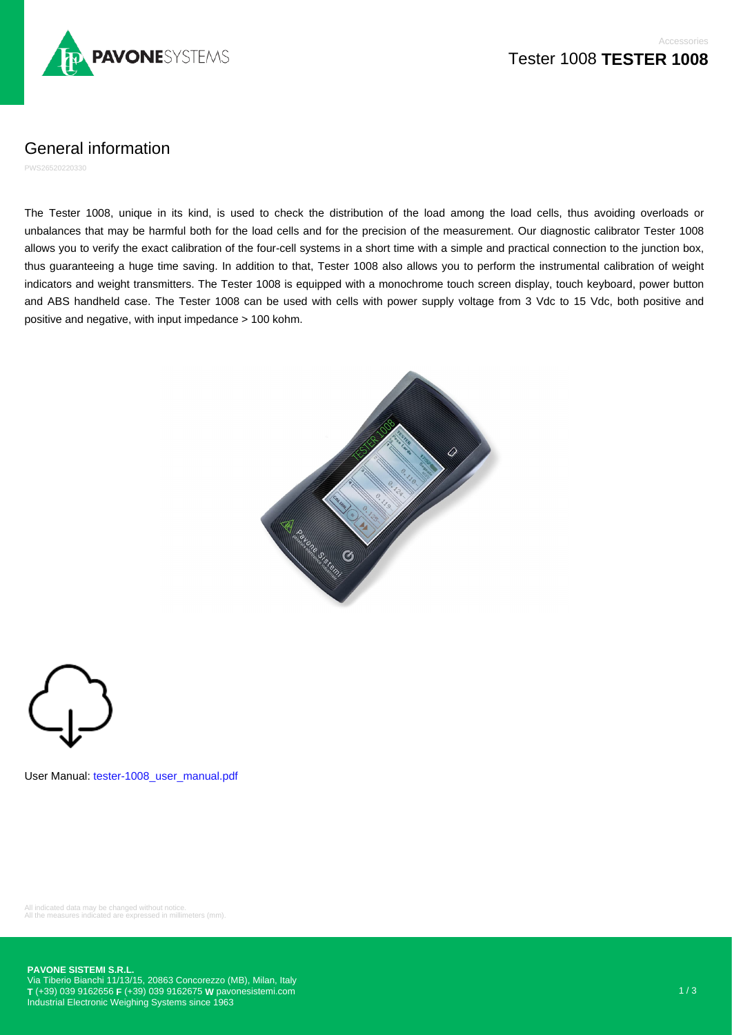

Accessories

General information

PWS26520220330

The Tester 1008, unique in its kind, is used to check the distribution of the load among the load cells, thus avoiding overloads or unbalances that may be harmful both for the load cells and for the precision of the measurement. Our diagnostic calibrator Tester 1008 allows you to verify the exact calibration of the four-cell systems in a short time with a simple and practical connection to the junction box, thus guaranteeing a huge time saving. In addition to that, Tester 1008 also allows you to perform the instrumental calibration of weight indicators and weight transmitters. The Tester 1008 is equipped with a monochrome touch screen display, touch keyboard, power button and ABS handheld case. The Tester 1008 can be used with cells with power supply voltage from 3 Vdc to 15 Vdc, both positive and positive and negative, with input impedance > 100 kohm.





User Manual: [tester-1008\\_user\\_manual.pdf](https://www.pavonesistemi.com/app_data/docs/products/manuals/tester-1008_user_manual.pdf)

All indicated data may be changed without notice. All the measures indicated are expressed in millimeters (mm).

## **PAVONE SISTEMI S.R.L.**

Via Tiberio Bianchi 11/13/15, 20863 Concorezzo (MB), Milan, Italy **T** (+39) 039 9162656 **F** (+39) 039 9162675 **W** [pavonesistemi.com](https://www.pavonesistemi.com) Industrial Electronic Weighing Systems since 1963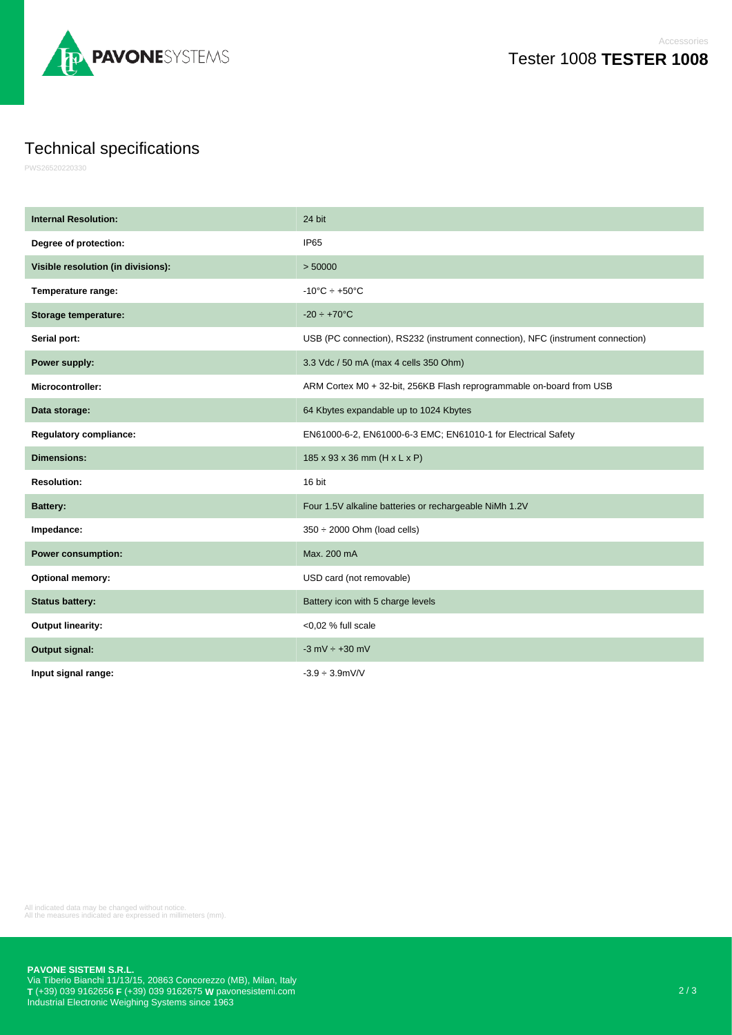

Accessories

## Technical specifications

PWS26520220330

| <b>Internal Resolution:</b>        | 24 bit                                                                          |
|------------------------------------|---------------------------------------------------------------------------------|
| Degree of protection:              | IP <sub>65</sub>                                                                |
| Visible resolution (in divisions): | > 50000                                                                         |
| Temperature range:                 | $-10^{\circ}$ C $\div$ +50 $^{\circ}$ C                                         |
| Storage temperature:               | $-20 \div +70$ °C                                                               |
| Serial port:                       | USB (PC connection), RS232 (instrument connection), NFC (instrument connection) |
| Power supply:                      | 3.3 Vdc / 50 mA (max 4 cells 350 Ohm)                                           |
| Microcontroller:                   | ARM Cortex M0 + 32-bit, 256KB Flash reprogrammable on-board from USB            |
| Data storage:                      | 64 Kbytes expandable up to 1024 Kbytes                                          |
| <b>Regulatory compliance:</b>      | EN61000-6-2, EN61000-6-3 EMC; EN61010-1 for Electrical Safety                   |
| <b>Dimensions:</b>                 | 185 x 93 x 36 mm (H x L x P)                                                    |
| <b>Resolution:</b>                 | 16 bit                                                                          |
| <b>Battery:</b>                    | Four 1.5V alkaline batteries or rechargeable NiMh 1.2V                          |
| Impedance:                         | $350 \div 2000$ Ohm (load cells)                                                |
| <b>Power consumption:</b>          | Max. 200 mA                                                                     |
| <b>Optional memory:</b>            | USD card (not removable)                                                        |
| <b>Status battery:</b>             | Battery icon with 5 charge levels                                               |
| <b>Output linearity:</b>           | <0.02 % full scale                                                              |
| Output signal:                     | $-3$ mV $\div$ +30 mV                                                           |
| Input signal range:                | $-3.9 \div 3.9$ mV/V                                                            |

All indicated data may be changed without notice. All the measures indicated are expressed in millimeters (mm).

**PAVONE SISTEMI S.R.L.**